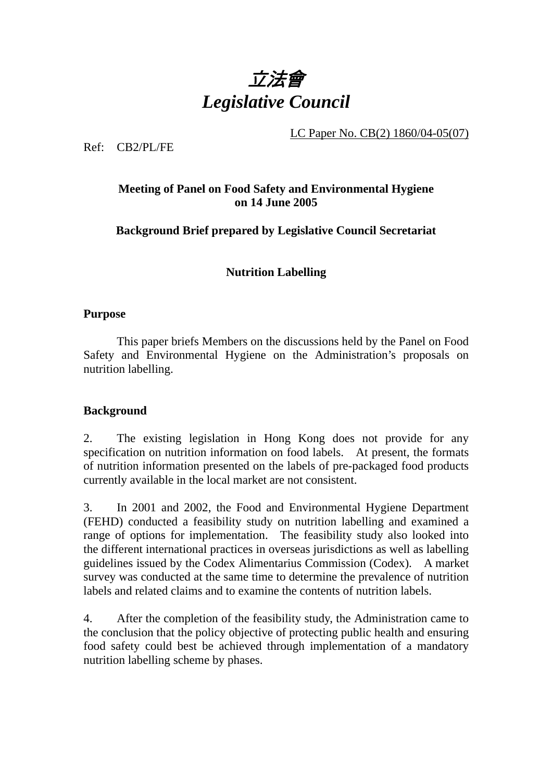

LC Paper No. CB(2) 1860/04-05(07)

Ref: CB2/PL/FE

# **Meeting of Panel on Food Safety and Environmental Hygiene on 14 June 2005**

**Background Brief prepared by Legislative Council Secretariat** 

**Nutrition Labelling** 

#### **Purpose**

1. This paper briefs Members on the discussions held by the Panel on Food Safety and Environmental Hygiene on the Administration's proposals on nutrition labelling.

## **Background**

2. The existing legislation in Hong Kong does not provide for any specification on nutrition information on food labels. At present, the formats of nutrition information presented on the labels of pre-packaged food products currently available in the local market are not consistent.

3. In 2001 and 2002, the Food and Environmental Hygiene Department (FEHD) conducted a feasibility study on nutrition labelling and examined a range of options for implementation. The feasibility study also looked into the different international practices in overseas jurisdictions as well as labelling guidelines issued by the Codex Alimentarius Commission (Codex). A market survey was conducted at the same time to determine the prevalence of nutrition labels and related claims and to examine the contents of nutrition labels.

4. After the completion of the feasibility study, the Administration came to the conclusion that the policy objective of protecting public health and ensuring food safety could best be achieved through implementation of a mandatory nutrition labelling scheme by phases.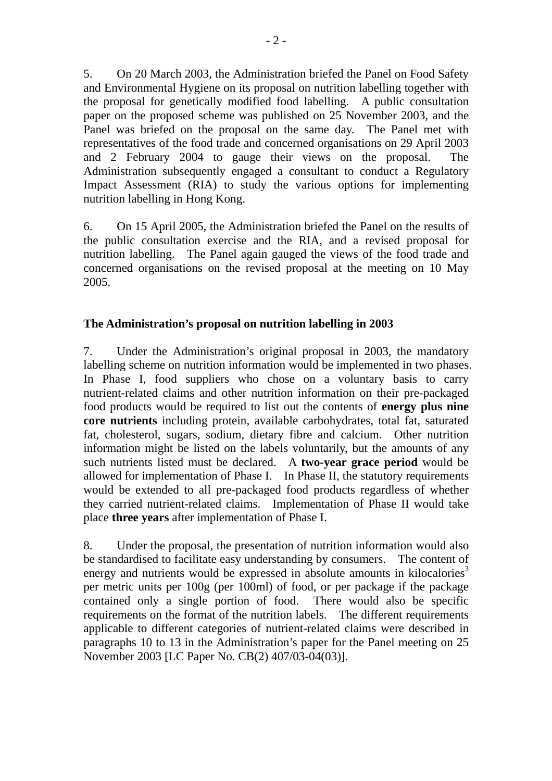5. On 20 March 2003, the Administration briefed the Panel on Food Safety and Environmental Hygiene on its proposal on nutrition labelling together with the proposal for genetically modified food labelling. A public consultation paper on the proposed scheme was published on 25 November 2003, and the Panel was briefed on the proposal on the same day. The Panel met with representatives of the food trade and concerned organisations on 29 April 2003 and 2 February 2004 to gauge their views on the proposal. The Administration subsequently engaged a consultant to conduct a Regulatory Impact Assessment (RIA) to study the various options for implementing nutrition labelling in Hong Kong.

6. On 15 April 2005, the Administration briefed the Panel on the results of the public consultation exercise and the RIA, and a revised proposal for nutrition labelling. The Panel again gauged the views of the food trade and concerned organisations on the revised proposal at the meeting on 10 May 2005.

# **The Administration's proposal on nutrition labelling in 2003**

7. Under the Administration's original proposal in 2003, the mandatory labelling scheme on nutrition information would be implemented in two phases. In Phase I, food suppliers who chose on a voluntary basis to carry nutrient-related claims and other nutrition information on their pre-packaged food products would be required to list out the contents of **energy plus nine core nutrients** including protein, available carbohydrates, total fat, saturated fat, cholesterol, sugars, sodium, dietary fibre and calcium. Other nutrition information might be listed on the labels voluntarily, but the amounts of any such nutrients listed must be declared. A **two-year grace period** would be allowed for implementation of Phase I. In Phase II, the statutory requirements would be extended to all pre-packaged food products regardless of whether they carried nutrient-related claims. Implementation of Phase II would take place **three years** after implementation of Phase I.

8. Under the proposal, the presentation of nutrition information would also be standardised to facilitate easy understanding by consumers. The content of energy and nutrients would be expressed in absolute amounts in kilocalories<sup>3</sup> per metric units per 100g (per 100ml) of food, or per package if the package contained only a single portion of food. There would also be specific requirements on the format of the nutrition labels. The different requirements applicable to different categories of nutrient-related claims were described in paragraphs 10 to 13 in the Administration's paper for the Panel meeting on 25 November 2003 [LC Paper No. CB(2) 407/03-04(03)].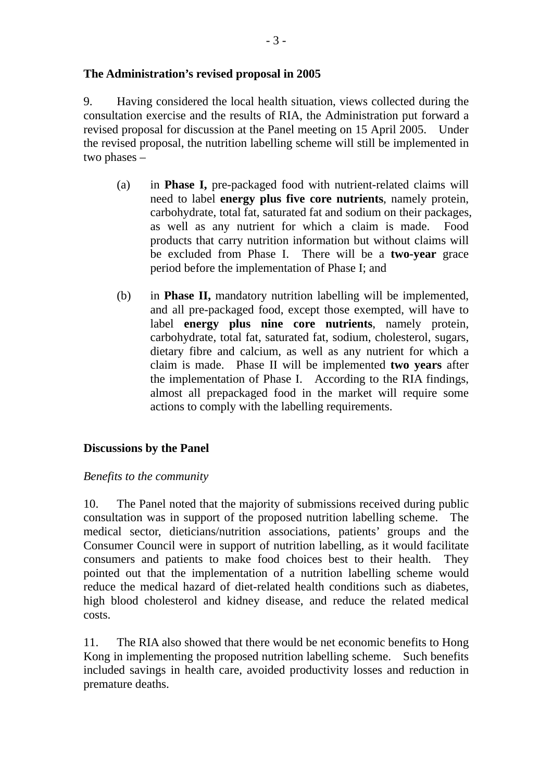#### **The Administration's revised proposal in 2005**

9. Having considered the local health situation, views collected during the consultation exercise and the results of RIA, the Administration put forward a revised proposal for discussion at the Panel meeting on 15 April 2005. Under the revised proposal, the nutrition labelling scheme will still be implemented in two phases –

- (a) in **Phase I,** pre-packaged food with nutrient-related claims will need to label **energy plus five core nutrients**, namely protein, carbohydrate, total fat, saturated fat and sodium on their packages, as well as any nutrient for which a claim is made. Food products that carry nutrition information but without claims will be excluded from Phase I. There will be a **two-year** grace period before the implementation of Phase I; and
- (b) in **Phase II,** mandatory nutrition labelling will be implemented, and all pre-packaged food, except those exempted, will have to label **energy plus nine core nutrients**, namely protein, carbohydrate, total fat, saturated fat, sodium, cholesterol, sugars, dietary fibre and calcium, as well as any nutrient for which a claim is made. Phase II will be implemented **two years** after the implementation of Phase I. According to the RIA findings, almost all prepackaged food in the market will require some actions to comply with the labelling requirements.

## **Discussions by the Panel**

## *Benefits to the community*

10. The Panel noted that the majority of submissions received during public consultation was in support of the proposed nutrition labelling scheme. The medical sector, dieticians/nutrition associations, patients' groups and the Consumer Council were in support of nutrition labelling, as it would facilitate consumers and patients to make food choices best to their health. They pointed out that the implementation of a nutrition labelling scheme would reduce the medical hazard of diet-related health conditions such as diabetes, high blood cholesterol and kidney disease, and reduce the related medical costs.

11. The RIA also showed that there would be net economic benefits to Hong Kong in implementing the proposed nutrition labelling scheme. Such benefits included savings in health care, avoided productivity losses and reduction in premature deaths.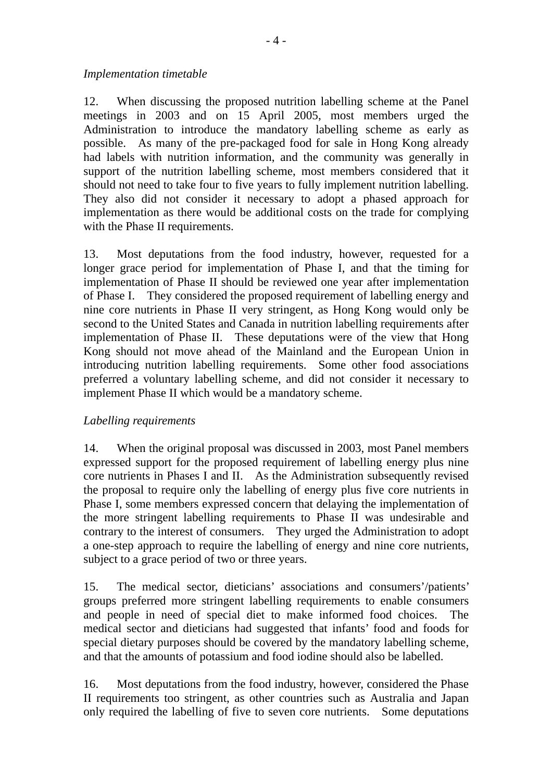#### *Implementation timetable*

12. When discussing the proposed nutrition labelling scheme at the Panel meetings in 2003 and on 15 April 2005, most members urged the Administration to introduce the mandatory labelling scheme as early as possible. As many of the pre-packaged food for sale in Hong Kong already had labels with nutrition information, and the community was generally in support of the nutrition labelling scheme, most members considered that it should not need to take four to five years to fully implement nutrition labelling. They also did not consider it necessary to adopt a phased approach for implementation as there would be additional costs on the trade for complying with the Phase II requirements.

13. Most deputations from the food industry, however, requested for a longer grace period for implementation of Phase I, and that the timing for implementation of Phase II should be reviewed one year after implementation of Phase I. They considered the proposed requirement of labelling energy and nine core nutrients in Phase II very stringent, as Hong Kong would only be second to the United States and Canada in nutrition labelling requirements after implementation of Phase II. These deputations were of the view that Hong Kong should not move ahead of the Mainland and the European Union in introducing nutrition labelling requirements. Some other food associations preferred a voluntary labelling scheme, and did not consider it necessary to implement Phase II which would be a mandatory scheme.

## *Labelling requirements*

14. When the original proposal was discussed in 2003, most Panel members expressed support for the proposed requirement of labelling energy plus nine core nutrients in Phases I and II. As the Administration subsequently revised the proposal to require only the labelling of energy plus five core nutrients in Phase I, some members expressed concern that delaying the implementation of the more stringent labelling requirements to Phase II was undesirable and contrary to the interest of consumers. They urged the Administration to adopt a one-step approach to require the labelling of energy and nine core nutrients, subject to a grace period of two or three years.

15. The medical sector, dieticians' associations and consumers'/patients' groups preferred more stringent labelling requirements to enable consumers and people in need of special diet to make informed food choices. The medical sector and dieticians had suggested that infants' food and foods for special dietary purposes should be covered by the mandatory labelling scheme, and that the amounts of potassium and food iodine should also be labelled.

16. Most deputations from the food industry, however, considered the Phase II requirements too stringent, as other countries such as Australia and Japan only required the labelling of five to seven core nutrients. Some deputations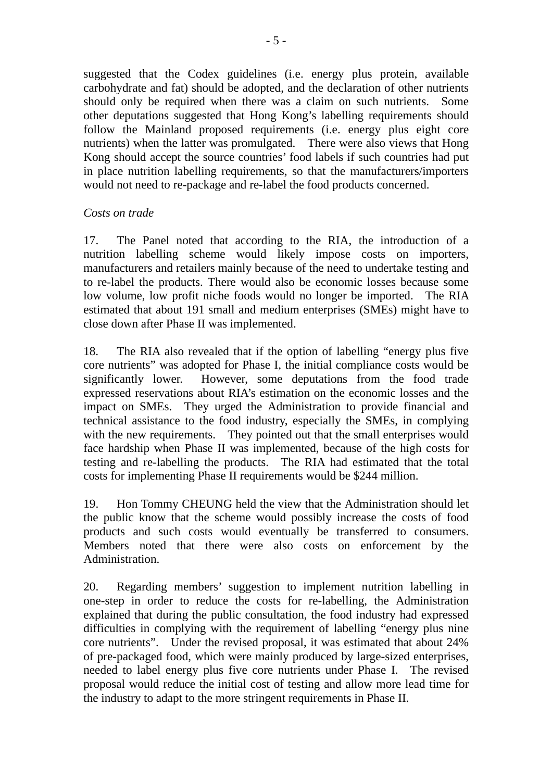suggested that the Codex guidelines (i.e. energy plus protein, available carbohydrate and fat) should be adopted, and the declaration of other nutrients should only be required when there was a claim on such nutrients. Some other deputations suggested that Hong Kong's labelling requirements should follow the Mainland proposed requirements (i.e. energy plus eight core nutrients) when the latter was promulgated. There were also views that Hong Kong should accept the source countries' food labels if such countries had put in place nutrition labelling requirements, so that the manufacturers/importers would not need to re-package and re-label the food products concerned.

## *Costs on trade*

17. The Panel noted that according to the RIA, the introduction of a nutrition labelling scheme would likely impose costs on importers, manufacturers and retailers mainly because of the need to undertake testing and to re-label the products. There would also be economic losses because some low volume, low profit niche foods would no longer be imported. The RIA estimated that about 191 small and medium enterprises (SMEs) might have to close down after Phase II was implemented.

18. The RIA also revealed that if the option of labelling "energy plus five core nutrients" was adopted for Phase I, the initial compliance costs would be significantly lower. However, some deputations from the food trade expressed reservations about RIA's estimation on the economic losses and the impact on SMEs. They urged the Administration to provide financial and technical assistance to the food industry, especially the SMEs, in complying with the new requirements. They pointed out that the small enterprises would face hardship when Phase II was implemented, because of the high costs for testing and re-labelling the products. The RIA had estimated that the total costs for implementing Phase II requirements would be \$244 million.

19. Hon Tommy CHEUNG held the view that the Administration should let the public know that the scheme would possibly increase the costs of food products and such costs would eventually be transferred to consumers. Members noted that there were also costs on enforcement by the Administration.

20. Regarding members' suggestion to implement nutrition labelling in one-step in order to reduce the costs for re-labelling, the Administration explained that during the public consultation, the food industry had expressed difficulties in complying with the requirement of labelling "energy plus nine core nutrients". Under the revised proposal, it was estimated that about 24% of pre-packaged food, which were mainly produced by large-sized enterprises, needed to label energy plus five core nutrients under Phase I. The revised proposal would reduce the initial cost of testing and allow more lead time for the industry to adapt to the more stringent requirements in Phase II.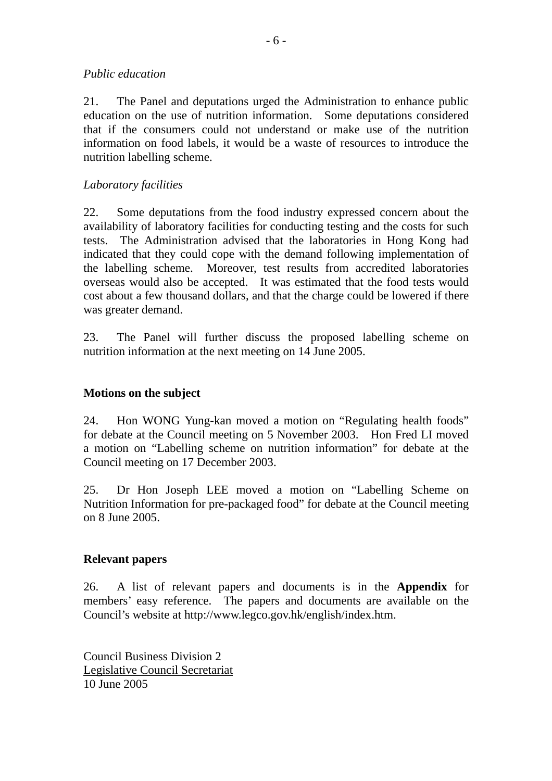#### *Public education*

21. The Panel and deputations urged the Administration to enhance public education on the use of nutrition information. Some deputations considered that if the consumers could not understand or make use of the nutrition information on food labels, it would be a waste of resources to introduce the nutrition labelling scheme.

## *Laboratory facilities*

22. Some deputations from the food industry expressed concern about the availability of laboratory facilities for conducting testing and the costs for such tests. The Administration advised that the laboratories in Hong Kong had indicated that they could cope with the demand following implementation of the labelling scheme. Moreover, test results from accredited laboratories overseas would also be accepted. It was estimated that the food tests would cost about a few thousand dollars, and that the charge could be lowered if there was greater demand.

23. The Panel will further discuss the proposed labelling scheme on nutrition information at the next meeting on 14 June 2005.

# **Motions on the subject**

24. Hon WONG Yung-kan moved a motion on "Regulating health foods" for debate at the Council meeting on 5 November 2003. Hon Fred LI moved a motion on "Labelling scheme on nutrition information" for debate at the Council meeting on 17 December 2003.

25. Dr Hon Joseph LEE moved a motion on "Labelling Scheme on Nutrition Information for pre-packaged food" for debate at the Council meeting on 8 June 2005.

## **Relevant papers**

26. A list of relevant papers and documents is in the **Appendix** for members' easy reference. The papers and documents are available on the Council's website at http://www.legco.gov.hk/english/index.htm.

Council Business Division 2 Legislative Council Secretariat 10 June 2005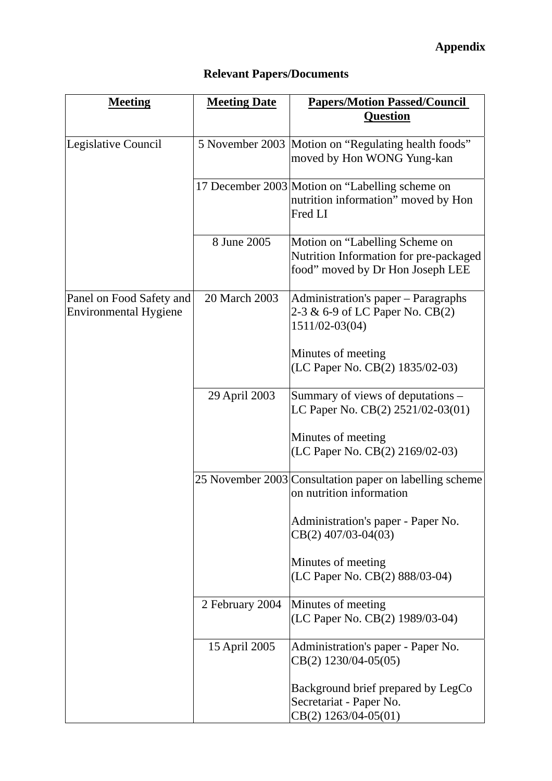| <b>Meeting</b>                                           | <b>Meeting Date</b> | <b>Papers/Motion Passed/Council</b>                                                                          |
|----------------------------------------------------------|---------------------|--------------------------------------------------------------------------------------------------------------|
|                                                          |                     | <b>Question</b>                                                                                              |
| Legislative Council                                      |                     | 5 November 2003 Motion on "Regulating health foods"<br>moved by Hon WONG Yung-kan                            |
|                                                          |                     | 17 December 2003 Motion on "Labelling scheme on<br>nutrition information" moved by Hon<br>Fred LI            |
|                                                          | 8 June 2005         | Motion on "Labelling Scheme on<br>Nutrition Information for pre-packaged<br>food" moved by Dr Hon Joseph LEE |
| Panel on Food Safety and<br><b>Environmental Hygiene</b> | 20 March 2003       | Administration's paper - Paragraphs<br>2-3 & 6-9 of LC Paper No. CB(2)<br>1511/02-03(04)                     |
|                                                          |                     | Minutes of meeting<br>(LC Paper No. CB(2) 1835/02-03)                                                        |
|                                                          | 29 April 2003       | Summary of views of deputations -<br>LC Paper No. CB(2) 2521/02-03(01)                                       |
|                                                          |                     | Minutes of meeting<br>(LC Paper No. CB(2) 2169/02-03)                                                        |
|                                                          |                     | 25 November 2003 Consultation paper on labelling scheme<br>on nutrition information                          |
|                                                          |                     | Administration's paper - Paper No.<br>CB(2) 407/03-04(03)                                                    |
|                                                          |                     | Minutes of meeting<br>(LC Paper No. CB(2) 888/03-04)                                                         |
|                                                          | 2 February 2004     | Minutes of meeting<br>(LC Paper No. CB(2) 1989/03-04)                                                        |
|                                                          | 15 April 2005       | Administration's paper - Paper No.<br>$CB(2)$ 1230/04-05(05)                                                 |
|                                                          |                     | Background brief prepared by LegCo<br>Secretariat - Paper No.<br>$CB(2)$ 1263/04-05(01)                      |

# **Relevant Papers/Documents**